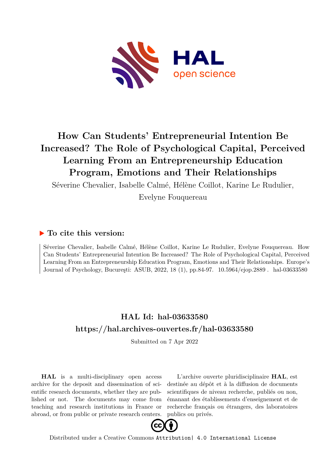

# **How Can Students' Entrepreneurial Intention Be Increased? The Role of Psychological Capital, Perceived Learning From an Entrepreneurship Education Program, Emotions and Their Relationships**

Séverine Chevalier, Isabelle Calmé, Hélène Coillot, Karine Le Rudulier,

Evelyne Fouquereau

## **To cite this version:**

Séverine Chevalier, Isabelle Calmé, Hélène Coillot, Karine Le Rudulier, Evelyne Fouquereau. How Can Students' Entrepreneurial Intention Be Increased? The Role of Psychological Capital, Perceived Learning From an Entrepreneurship Education Program, Emotions and Their Relationships. Europe's Journal of Psychology, București: ASUB, 2022, 18 (1), pp.84-97. 10.5964/ejop.2889 . hal-03633580

# **HAL Id: hal-03633580 <https://hal.archives-ouvertes.fr/hal-03633580>**

Submitted on 7 Apr 2022

**HAL** is a multi-disciplinary open access archive for the deposit and dissemination of scientific research documents, whether they are published or not. The documents may come from teaching and research institutions in France or abroad, or from public or private research centers.

L'archive ouverte pluridisciplinaire **HAL**, est destinée au dépôt et à la diffusion de documents scientifiques de niveau recherche, publiés ou non, émanant des établissements d'enseignement et de recherche français ou étrangers, des laboratoires publics ou privés.



Distributed under a Creative Commons [Attribution| 4.0 International License](http://creativecommons.org/licenses/by/4.0/)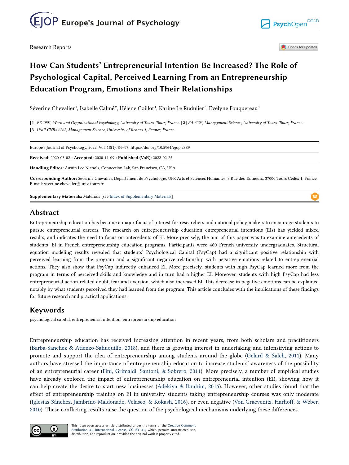Research Reports

Check for updates

## **How Can Students' Entrepreneurial Intention Be Increased? The Role of Psychological Capital, Perceived Learning From an Entrepreneurship Education Program, Emotions and Their Relationships**

Séverine Chevalier<sup>1</sup>, Isabelle Calmé<sup>2</sup>, Hélène Coillot<sup>1</sup>, Karine Le Rudulier<sup>3</sup>, Evelyne Fouquereau<sup>1</sup>

**[1]** *EE 1901, Work and Organizational Psychology, University of Tours, Tours, France.* **[2]** *EA 6296, Management Science, University of Tours, Tours, France.*  **[3]** *UMR CNRS 6262, Management Science, University of Rennes 1, Rennes, France.* 

| Europe's Journal of Psychology, 2022, Vol. 18(1), 84–97, https://doi.org/10.5964/ejop.2889                                                                                                        |
|---------------------------------------------------------------------------------------------------------------------------------------------------------------------------------------------------|
| <b>Received: 2020-03-02 • Accepted: 2020-11-09 • Published (VoR): 2022-02-25</b>                                                                                                                  |
| Handling Editor: Austin Lee Nichols, Connection Lab, San Francisco, CA, USA                                                                                                                       |
| Corresponding Author: Séverine Chevalier, Département de Psychologie, UFR Arts et Sciences Humaines, 3 Rue des Tanneurs, 37000 Tours Cédex 1, France.<br>E-mail: severine.chevalier@univ-tours.fr |

**Supplementary Materials:** Materials [see Index of Supplementary Materials]

## **Abstract**

Entrepreneurship education has become a major focus of interest for researchers and national policy makers to encourage students to pursue entrepreneurial careers. The research on entrepreneurship education–entrepreneurial intentions (EIs) has yielded mixed results, and indicates the need to focus on antecedents of EI. More precisely, the aim of this paper was to examine antecedents of students' EI in French entrepreneurship education programs. Participants were 460 French university undergraduates. Structural equation modeling results revealed that students' Psychological Capital (PsyCap) had a significant positive relationship with perceived learning from the program and a significant negative relationship with negative emotions related to entrepreneurial actions. They also show that PsyCap indirectly enhanced EI. More precisely, students with high PsyCap learned more from the program in terms of perceived skills and knowledge and in turn had a higher EI. Moreover, students with high PsyCap had less entrepreneurial action-related doubt, fear and aversion, which also increased EI. This decrease in negative emotions can be explained notably by what students perceived they had learned from the program. This article concludes with the implications of these findings for future research and practical applications.

## **Keywords**

psychological capital, entrepreneurial intention, entrepreneurship education

Entrepreneurship education has received increasing attention in recent years, from both scholars and practitioners (Barba-Sanchez & Atienzo-Sahuquillo, 2018), and there is growing interest in undertaking and intensifying actions to promote and support the idea of entrepreneurship among students around the globe (Gelard & Saleh, 2011). Many authors have stressed the importance of entrepreneurship education to increase students' awareness of the possibility of an entrepreneurial career (Fini, Grimaldi, Santoni, & Sobrero, 2011). More precisely, a number of empirical studies have already explored the impact of entrepreneurship education on entrepreneurial intention (EI), showing how it can help create the desire to start new businesses (Adekiya & Ibrahim, 2016). However, other studies found that the effect of entrepreneurship training on EI in university students taking entrepreneurship courses was only moderate (Iglesias-Sánchez, Jambrino-Maldonado, Velasco, & Kokash, 2016), or even negative (Von Graevenitz, Harhoff, & Weber, 2010). These conflicting results raise the question of the psychological mechanisms underlying these differences.



This is an open access article distributed under the terms of the [Creative Commons](https://creativecommons.org/licenses/by/4.0/) [Attribution 4.0 International License, CC BY 4.0](https://creativecommons.org/licenses/by/4.0/), which permits unrestricted use, distribution, and reproduction, provided the original work is properly cited.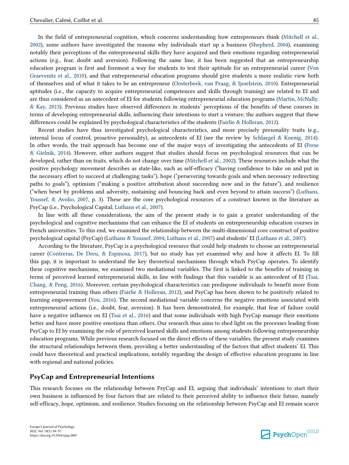In the field of entrepreneurial cognition, which concerns understanding how entrepreneurs think (Mitchell et al., 2002), some authors have investigated the reasons why individuals start up a business (Shepherd, 2004), examining notably their perceptions of the entrepreneurial skills they have acquired and their emotions regarding entrepreneurial actions (e.g., fear, doubt and aversion). Following the same line, it has been suggested that an entrepreneurship education program is first and foremost a way for students to test their aptitude for an entrepreneurial career (Von Graevenitz et al., 2010), and that entrepreneurial education programs should give students a more realistic view both of themselves and of what it takes to be an entrepreneur (Oosterbeek, van Praag, & Ijsselstein, 2010). Entrepreneurial aptitudes (i.e., the capacity to acquire entrepreneurial competences and skills through training) are related to EI and are thus considered as an antecedent of EI for students following entrepreneurial education programs (Martin, McNally, & Kay, 2013). Previous studies have observed differences in students' perceptions of the benefits of these courses in terms of developing entrepreneurial skills, influencing their intentions to start a venture; the authors suggest that these differences could be explained by psychological characteristics of the students (Fairlie & Holleran, 2012).

Recent studies have thus investigated psychological characteristics, and more precisely personality traits (e.g., internal locus of control, proactive personality), as antecedents of EI (see the review by Schlaegel & Koenig, 2014). In other words, the trait approach has become one of the major ways of investigating the antecedents of EI (Frese & Gielnik, 2014). However, other authors suggest that studies should focus on psychological resources that can be developed, rather than on traits, which do not change over time (Mitchell et al., 2002). These resources include what the positive psychology movement describes as state-like, such as self-efficacy ("having confidence to take on and put in the necessary effort to succeed at challenging tasks"), hope ("persevering towards goals and when necessary redirecting paths to goals"), optimism ("making a positive attribution about succeeding now and in the future"), and resilience ("when beset by problems and adversity, sustaining and bouncing back and even beyond to attain success") (Luthans, Youssef, & Avolio, 2007, p. 3). These are the core psychological resources of a construct known in the literature as PsyCap (i.e., Psychological Capital; Luthans et al., 2007).

In line with all these considerations, the aim of the present study is to gain a greater understanding of the psychological and cognitive mechanisms that can enhance the EI of students on entrepreneurship education courses in French universities. To this end, we examined the relationship between the multi-dimensional core construct of positive psychological capital (PsyCap) (Luthans & Youssef, 2004; Luthans et al., 2007) and students' EI (Luthans et al., 2007).

According to the literature, PsyCap is a psychological resource that could help students to choose an entrepreneurial career (Contreras, De Dreu, & Espinosa, 2017), but no study has yet examined why and how it affects EI. To fill this gap, it is important to understand the key theoretical mechanisms through which PsyCap operates. To identify these cognitive mechanisms, we examined two mediational variables. The first is linked to the benefits of training in terms of perceived learned entrepreneurial skills, in line with findings that this variable is an antecedent of EI (Tsai, Chang, & Peng, 2016). Moreover, certain psychological characteristics can predispose individuals to benefit more from entrepreneurial training than others (Fairlie & Holleran, 2012), and PsyCap has been shown to be positively related to learning empowerment (You, 2016). The second mediational variable concerns the negative emotions associated with entrepreneurial actions (i.e., doubt, fear, aversion). It has been demonstrated, for example, that fear of failure could have a negative influence on EI (Tsai et al., 2016) and that some individuals with high PsyCap manage their emotions better and have more positive emotions than others. Our research thus aims to shed light on the processes leading from PsyCap to EI by examining the role of perceived learned skills and emotions among students following entrepreneurship education programs. While previous research focused on the direct effects of these variables, the present study examines the structural relationships between them, providing a better understanding of the factors that affect students' EI. This could have theoretical and practical implications, notably regarding the design of effective education programs in line with regional and national policies.

#### **PsyCap and Entrepreneurial Intentions**

This research focuses on the relationship between PsyCap and EI, arguing that individuals' intentions to start their own business is influenced by four factors that are related to their perceived ability to influence their future, namely self-efficacy, hope, optimism, and resilience. Studies focusing on the relationship between PsyCap and EI remain scarce

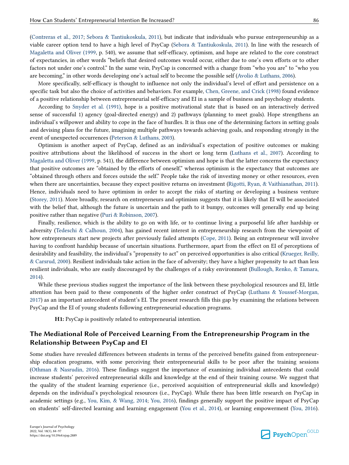(Contreras et al., 2017; Sebora & Tantiukoskula, 2011), but indicate that individuals who pursue entrepreneurship as a viable career option tend to have a high level of PsyCap (Sebora & Tantiukoskula, 2011). In line with the research of Magaletta and Oliver (1999, p. 540), we assume that self-efficacy, optimism, and hope are related to the core construct of expectancies, in other words "beliefs that desired outcomes would occur, either due to one's own efforts or to other factors not under one's control." In the same vein, PsyCap is concerned with a change from "who you are" to "who you are becoming," in other words developing one's actual self to become the possible self (Avolio & Luthans, 2006).

More specifically, self-efficacy is thought to influence not only the individual's level of effort and persistence on a specific task but also the choice of activities and behaviors. For example, Chen, Greene, and Crick (1998) found evidence of a positive relationship between entrepreneurial self-efficacy and EI in a sample of business and psychology students.

According to Snyder et al. (1991), hope is a positive motivational state that is based on an interactively derived sense of successful 1) agency (goal-directed energy) and 2) pathways (planning to meet goals). Hope strengthens an individual's willpower and ability to cope in the face of hurdles. It is thus one of the determining factors in setting goals and devising plans for the future, imagining multiple pathways towards achieving goals, and responding strongly in the event of unexpected occurrences (Peterson & Luthans, 2003).

Optimism is another aspect of PsyCap, defined as an individual's expectation of positive outcomes or making positive attributions about the likelihood of success in the short or long term (Luthans et al., 2007). According to Magaletta and Oliver (1999, p. 541), the difference between optimism and hope is that the latter concerns the expectancy that positive outcomes are "obtained by the efforts of oneself," whereas optimism is the expectancy that outcomes are "obtained through others and forces outside the self." People take the risk of investing money or other resources, even when there are uncertainties, because they expect positive returns on investment (Rigotti, Ryan, & Vaithianathan, 2011). Hence, individuals need to have optimism in order to accept the risks of starting or developing a business venture (Storey, 2011). More broadly, research on entrepreneurs and optimism suggests that it is likely that EI will be associated with the belief that, although the future is uncertain and the path to it bumpy, outcomes will generally end up being positive rather than negative (Puri & Robinson, 2007).

Finally, resilience, which is the ability to go on with life, or to continue living a purposeful life after hardship or adversity (Tedeschi & Calhoun, 2004), has gained recent interest in entrepreneurship research from the viewpoint of how entrepreneurs start new projects after previously failed attempts (Cope, 2011). Being an entrepreneur will involve having to confront hardship because of uncertain situations. Furthermore, apart from the effect on EI of perceptions of desirability and feasibility, the individual's "propensity to act" on perceived opportunities is also critical (Krueger, Reilly, & Carsrud, 2000). Resilient individuals take action in the face of adversity; they have a higher propensity to act than less resilient individuals, who are easily discouraged by the challenges of a risky environment (Bullough, Renko, & Tamara, 2014).

While these previous studies suggest the importance of the link between these psychological resources and EI, little attention has been paid to these components of the higher order construct of PsyCap (Luthans & Youssef-Morgan, 2017) as an important antecedent of student's EI. The present research fills this gap by examining the relations between PsyCap and the EI of young students following entrepreneurial education programs.

**H1:** PsyCap is positively related to entrepreneurial intention.

### **The Mediational Role of Perceived Learning From the Entrepreneurship Program in the Relationship Between PsyCap and EI**

Some studies have revealed differences between students in terms of the perceived benefits gained from entrepreneurship education programs, with some perceiving their entrepreneurial skills to be poor after the training sessions (Othman & Nasrudin, 2016). These findings suggest the importance of examining individual antecedents that could increase students' perceived entrepreneurial skills and knowledge at the end of their training course. We suggest that the quality of the student learning experience (i.e., perceived acquisition of entrepreneurial skills and knowledge) depends on the individual's psychological resources (i.e., PsyCap). While there has been little research on PsyCap in academic settings (e.g., You, Kim, & Wang, 2014; You, 2016), findings generally support the positive impact of PsyCap on students' self-directed learning and learning engagement (You et al., 2014), or learning empowerment (You, 2016).

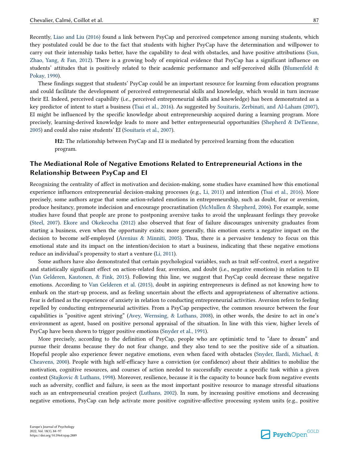Recently, Liao and Liu (2016) found a link between PsyCap and perceived competence among nursing students, which

they postulated could be due to the fact that students with higher PsyCap have the determination and willpower to carry out their internship tasks better, have the capability to deal with obstacles, and have positive attributions (Sun, Zhao, Yang, & Fan, 2012). There is a growing body of empirical evidence that PsyCap has a significant influence on students' attitudes that is positively related to their academic performance and self-perceived skills (Blumenfeld & Pokay, 1990).

These findings suggest that students' PsyCap could be an important resource for learning from education programs and could facilitate the development of perceived entrepreneurial skills and knowledge, which would in turn increase their EI. Indeed, perceived capability (i.e., perceived entrepreneurial skills and knowledge) has been demonstrated as a key predictor of intent to start a business (Tsai et al., 2016). As suggested by Souitaris, Zerbinati, and Al-Laham (2007), EI might be influenced by the specific knowledge about entrepreneurship acquired during a learning program. More precisely, learning-derived knowledge leads to more and better entrepreneurial opportunities (Shepherd & DeTienne, 2005) and could also raise students' EI (Souitaris et al., 2007).

**H2:** The relationship between PsyCap and EI is mediated by perceived learning from the education program.

#### **The Mediational Role of Negative Emotions Related to Entrepreneurial Actions in the Relationship Between PsyCap and EI**

Recognizing the centrality of affect in motivation and decision-making, some studies have examined how this emotional experience influences entrepreneurial decision-making processes (e.g., Li, 2011) and intention (Tsai et al., 2016). More precisely, some authors argue that some action-related emotions in entrepreneurship, such as doubt, fear or aversion, produce hesitancy, promote indecision and encourage procrastination (McMullen & Shepherd, 2006). For example, some studies have found that people are prone to postponing aversive tasks to avoid the unpleasant feelings they provoke (Steel, 2007). Ekore and Okekeocha (2012) also observed that fear of failure discourages university graduates from starting a business, even when the opportunity exists; more generally, this emotion exerts a negative impact on the decision to become self-employed (Arenius & Minniti, 2005). Thus, there is a pervasive tendency to focus on this emotional state and its impact on the intention/decision to start a business, indicating that these negative emotions reduce an individual's propensity to start a venture (Li, 2011).

Some authors have also demonstrated that certain psychological variables, such as trait self-control, exert a negative and statistically significant effect on action-related fear, aversion, and doubt (i.e., negative emotions) in relation to EI (Van Gelderen, Kautonen, & Fink, 2015). Following this line, we suggest that PsyCap could decrease these negative emotions. According to Van Gelderen et al. (2015), doubt in aspiring entrepreneurs is defined as not knowing how to embark on the start-up process, and as feeling uncertain about the effects and appropriateness of alternative actions. Fear is defined as the experience of anxiety in relation to conducting entrepreneurial activities. Aversion refers to feeling repelled by conducting entrepreneurial activities. From a PsyCap perspective, the common resource between the four capabilities is "positive agent striving" (Avey, Wernsing, & Luthans, 2008), in other words, the desire to act in one's environment as agent, based on positive personal appraisal of the situation. In line with this view, higher levels of PsyCap have been shown to trigger positive emotions (Snyder et al., 1991).

More precisely, according to the definition of PsyCap, people who are optimistic tend to "dare to dream" and pursue their dreams because they do not fear change, and they also tend to see the positive side of a situation. Hopeful people also experience fewer negative emotions, even when faced with obstacles (Snyder, Ilardi, Michael, & Cheavens, 2000). People with high self-efficacy have a conviction (or confidence) about their abilities to mobilize the motivation, cognitive resources, and courses of action needed to successfully execute a specific task within a given context (Stajkovic & Luthans, 1998). Moreover, resilience, because it is the capacity to bounce back from negative events such as adversity, conflict and failure, is seen as the most important positive resource to manage stressful situations such as an entrepreneurial creation project (Luthans, 2002). In sum, by increasing positive emotions and decreasing negative emotions, PsyCap can help activate more positive cognitive-affective processing system units (e.g., positive

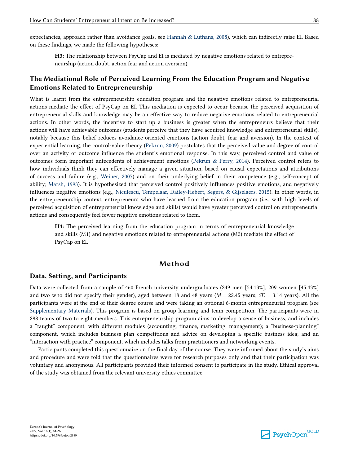expectancies, approach rather than avoidance goals, see Hannah & Luthans, 2008), which can indirectly raise EI. Based on these findings, we made the following hypotheses:

**H3:** The relationship between PsyCap and EI is mediated by negative emotions related to entrepreneurship (action doubt, action fear and action aversion).

## **The Mediational Role of Perceived Learning From the Education Program and Negative Emotions Related to Entrepreneurship**

What is learnt from the entrepreneurship education program and the negative emotions related to entrepreneurial actions mediate the effect of PsyCap on EI. This mediation is expected to occur because the perceived acquisition of entrepreneurial skills and knowledge may be an effective way to reduce negative emotions related to entrepreneurial actions. In other words, the incentive to start up a business is greater when the entrepreneurs believe that their actions will have achievable outcomes (students perceive that they have acquired knowledge and entrepreneurial skills), notably because this belief reduces avoidance-oriented emotions (action doubt, fear and aversion). In the context of experiential learning, the control-value theory (Pekrun, 2009) postulates that the perceived value and degree of control over an activity or outcome influence the student's emotional response. In this way, perceived control and value of outcomes form important antecedents of achievement emotions (Pekrun & Perry, 2014). Perceived control refers to how individuals think they can effectively manage a given situation, based on causal expectations and attributions of success and failure (e.g., Weiner, 2007) and on their underlying belief in their competence (e.g., self-concept of ability; Marsh, 1993). It is hypothesized that perceived control positively influences positive emotions, and negatively influences negative emotions (e.g., Niculescu, Tempelaar, Dailey-Hebert, Segers, & Gijselaers, 2015). In other words, in the entrepreneurship context, entrepreneurs who have learned from the education program (i.e., with high levels of perceived acquisition of entrepreneurial knowledge and skills) would have greater perceived control on entrepreneurial actions and consequently feel fewer negative emotions related to them.

**H4:** The perceived learning from the education program in terms of entrepreneurial knowledge and skills (M1) and negative emotions related to entrepreneurial actions (M2) mediate the effect of PsyCap on EI.

### **Method**

#### **Data, Setting, and Participants**

Data were collected from a sample of 460 French university undergraduates (249 men [54.13%], 209 women [45.43%] and two who did not specify their gender), aged between 18 and 48 years (*M* = 22.45 years; *SD* = 3.14 years). All the participants were at the end of their degree course and were taking an optional 6-month entrepreneurial program (see Supplementary Materials). This program is based on group learning and team competition. The participants were in 298 teams of two to eight members. This entrepreneurship program aims to develop a sense of business, and includes a "taught" component, with different modules (accounting, finance, marketing, management); a "business-planning" component, which includes business plan competitions and advice on developing a specific business idea; and an "interaction with practice" component, which includes talks from practitioners and networking events.

Participants completed this questionnaire on the final day of the course. They were informed about the study's aims and procedure and were told that the questionnaires were for research purposes only and that their participation was voluntary and anonymous. All participants provided their informed consent to participate in the study. Ethical approval of the study was obtained from the relevant university ethics committee.

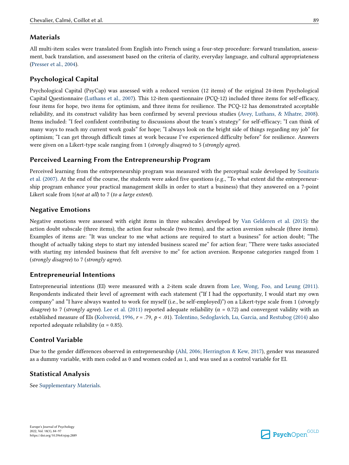#### **Materials**

All multi-item scales were translated from English into French using a four-step procedure: forward translation, assessment, back translation, and assessment based on the criteria of clarity, everyday language, and cultural appropriateness (Presser et al., 2004).

### **Psychological Capital**

Psychological Capital (PsyCap) was assessed with a reduced version (12 items) of the original 24-item Psychological Capital Questionnaire (Luthans et al., 2007). This 12-item questionnaire (PCQ-12) included three items for self-efficacy, four items for hope, two items for optimism, and three items for resilience. The PCQ-12 has demonstrated acceptable reliability, and its construct validity has been confirmed by several previous studies (Avey, Luthans, & Mhatre, 2008). Items included: "I feel confident contributing to discussions about the team's strategy" for self-efficacy; "I can think of many ways to reach my current work goals" for hope; "I always look on the bright side of things regarding my job" for optimism; "I can get through difficult times at work because I've experienced difficulty before" for resilience. Answers were given on a Likert-type scale ranging from 1 (*strongly disagree*) to 5 (*strongly agree*).

#### **Perceived Learning From the Entrepreneurship Program**

Perceived learning from the entrepreneurship program was measured with the perceptual scale developed by Souitaris et al. (2007). At the end of the course, the students were asked five questions (e.g., "To what extent did the entrepreneurship program enhance your practical management skills in order to start a business) that they answered on a 7-point Likert scale from 1(*not at all*) to 7 (*to a large extent*).

#### **Negative Emotions**

Negative emotions were assessed with eight items in three subscales developed by Van Gelderen et al. (2015): the action doubt subscale (three items), the action fear subscale (two items), and the action aversion subscale (three items). Examples of items are: "It was unclear to me what actions are required to start a business" for action doubt; "The thought of actually taking steps to start my intended business scared me" for action fear; "There were tasks associated with starting my intended business that felt aversive to me" for action aversion. Response categories ranged from 1 (*strongly disagree*) to 7 (*strongly agree*).

#### **Entrepreneurial Intentions**

Entrepreneurial intentions (EI) were measured with a 2-item scale drawn from Lee, Wong, Foo, and Leung (2011). Respondents indicated their level of agreement with each statement ("If I had the opportunity, I would start my own company" and "I have always wanted to work for myself (i.e., be self-employed)") on a Likert-type scale from 1 (*strongly disagree*) to 7 (*strongly agree*). Lee et al. (2011) reported adequate reliability ( $\alpha$  = 0.72) and convergent validity with an established measure of EIs (Kolvereid, 1996, *r* = .79, *p* < .01). Tolentino, Sedoglavich, Lu, Garcia, and Restubog (2014) also reported adequate reliability ( $\alpha$  = 0.85).

#### **Control Variable**

Due to the gender differences observed in entrepreneurship (Ahl, 2006; Herrington & Kew, 2017), gender was measured as a dummy variable, with men coded as 0 and women coded as 1, and was used as a control variable for EI.

#### **Statistical Analysis**

See Supplementary Materials.

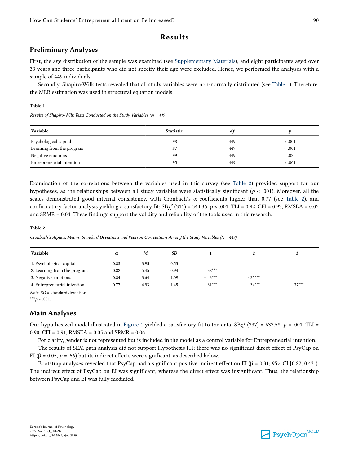#### **Results**

#### **Preliminary Analyses**

First, the age distribution of the sample was examined (see Supplementary Materials), and eight participants aged over 33 years and three participants who did not specify their age were excluded. Hence, we performed the analyses with a sample of 449 individuals.

Secondly, Shapiro-Wilk tests revealed that all study variables were non-normally distributed (see Table 1). Therefore, the MLR estimation was used in structural equation models.

#### **Table 1**

*Results of Shapiro-Wilk Tests Conducted on the Study Variables (N = 449)*

| Variable                  | <b>Statistic</b> | df  |             |
|---------------------------|------------------|-----|-------------|
| Psychological capital     | .98              | 449 | $\leq .001$ |
| Learning from the program | .97              | 449 | $\leq .001$ |
| Negative emotions         | .99              | 449 | .02         |
| Entrepreneurial intention | .95              | 449 | < .001      |

Examination of the correlations between the variables used in this survey (see Table 2) provided support for our hypotheses, as the relationships between all study variables were statistically significant (*p* < .001). Moreover, all the scales demonstrated good internal consistency, with Cronbach's  $\alpha$  coefficients higher than 0.77 (see Table 2), and confirmatory factor analysis yielding a satisfactory fit:  $SB\chi^2(311) = 544.36$ ,  $p < .001$ , TLI = 0.92, CFI = 0.93, RMSEA = 0.05 and SRMR = 0.04. These findings support the validity and reliability of the tools used in this research.

#### **Table 2**

*Cronbach's Alphas, Means, Standard Deviations and Pearson Correlations Among the Study Variables (N = 449)*

| Variable                     | $\alpha$ | M    | SD.  |           | 0         |           |
|------------------------------|----------|------|------|-----------|-----------|-----------|
|                              |          |      |      |           |           |           |
| 1. Psychological capital     | 0.85     | 3.95 | 0.53 |           |           |           |
| 2. Learning from the program | 0.82     | 5.45 | 0.94 | $.38***$  |           |           |
| 3. Negative emotions         | 0.84     | 3.64 | 1.09 | $-.43***$ | $-.35***$ |           |
| 4. Entrepreneurial intention | 0.77     | 4.93 | 1.45 | $.31***$  | $.34***$  | $-.37***$ |

*Note. SD* = standard deviation.

 $***p$  < .001.

### **Main Analyses**

Our hypothesized model illustrated in Figure 1 yielded a satisfactory fit to the data:  $SB\chi^2$  (337) = 633.58,  $p < .001$ , TLI = 0.90, CFI =  $0.91$ , RMSEA =  $0.05$  and SRMR =  $0.06$ .

For clarity, gender is not represented but is included in the model as a control variable for Entrepreneurial intention.

The results of SEM path analysis did not support Hypothesis H1: there was no significant direct effect of PsyCap on EI (β = 0.05,  $p = .56$ ) but its indirect effects were significant, as described below.

Bootstrap analyses revealed that PsyCap had a significant positive indirect effect on EI ( $\beta$  = 0.31; 95% CI [0.22, 0.43]). The indirect effect of PsyCap on EI was significant, whereas the direct effect was insignificant. Thus, the relationship between PsyCap and EI was fully mediated.



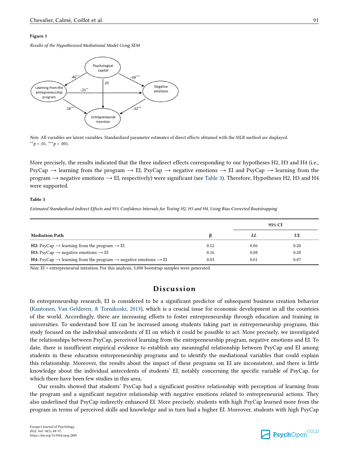#### **Figure 1**

*Results of the Hypothesized Mediational Model Using SEM*



*Note*. All variables are latent variables. Standardized parameter estimates of direct effects obtained with the MLR method are displayed.  $*$ *\*p* < .01.  $*$ *\*\*p* < .001.

More precisely, the results indicated that the three indirect effects corresponding to our hypotheses H2, H3 and H4 (i.e., PsyCap  $\rightarrow$  learning from the program  $\rightarrow$  EI, PsyCap  $\rightarrow$  negative emotions  $\rightarrow$  EI and PsyCap  $\rightarrow$  learning from the program → negative emotions → EI, respectively) were significant (see Table 3). Therefore, Hypotheses H2, H3 and H4 were supported.

#### **Table 3**

*Estimated Standardized Indirect Effects and 95% Confidence Intervals for Testing H2, H3 and H4, Using Bias-Corrected Bootstrapping*

|                                                                                                            |      | 95% CI |      |
|------------------------------------------------------------------------------------------------------------|------|--------|------|
| <b>Mediation Path</b>                                                                                      | В    | LL     | UL   |
| <b>H2:</b> PsyCap $\rightarrow$ learning from the program $\rightarrow$ EI                                 | 0.12 | 0.06   | 0.20 |
| <b>H3:</b> PsyCap $\rightarrow$ negative emotions $\rightarrow$ EI                                         | 0.16 | 0.08   | 0.28 |
| <b>H4:</b> PsyCap $\rightarrow$ learning from the program $\rightarrow$ negative emotions $\rightarrow$ EI | 0.03 | 0.01   | 0.07 |

*Note*. EI = entrepreneurial intention. For this analysis, 5,000 bootstrap samples were generated.

## **Discussion**

In entrepreneurship research, EI is considered to be a significant predictor of subsequent business creation behavior (Kautonen, Van Gelderen, & Tornikoski, 2013), which is a crucial issue for economic development in all the countries of the world. Accordingly, there are increasing efforts to foster entrepreneurship through education and training in universities. To understand how EI can be increased among students taking part in entrepreneurship programs, this study focused on the individual antecedents of EI on which it could be possible to act. More precisely, we investigated the relationships between PsyCap, perceived learning from the entrepreneurship program, negative emotions and EI. To date, there is insufficient empirical evidence to establish any meaningful relationship between PsyCap and EI among students in these education entrepreneurship programs and to identify the mediational variables that could explain this relationship. Moreover, the results about the impact of these programs on EI are inconsistent, and there is little knowledge about the individual antecedents of students' EI, notably concerning the specific variable of PsyCap, for which there have been few studies in this area.

Our results showed that students' PsyCap had a significant positive relationship with perception of learning from the program and a significant negative relationship with negative emotions related to entrepreneurial actions. They also underlined that PsyCap indirectly enhanced EI. More precisely, students with high PsyCap learned more from the program in terms of perceived skills and knowledge and in turn had a higher EI. Moreover, students with high PsyCap

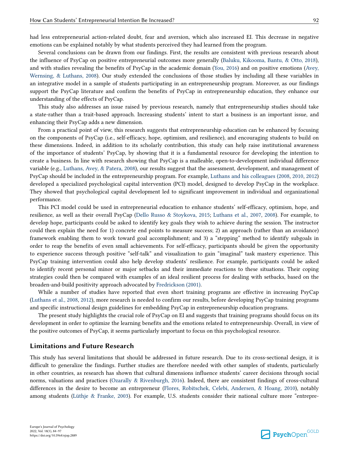had less entrepreneurial action-related doubt, fear and aversion, which also increased EI. This decrease in negative emotions can be explained notably by what students perceived they had learned from the program.

Several conclusions can be drawn from our findings. First, the results are consistent with previous research about the influence of PsyCap on positive entrepreneurial outcomes more generally (Baluku, Kikooma, Bantu, & Otto, 2018), and with studies revealing the benefits of PsyCap in the academic domain (You, 2016) and on positive emotions (Avey, Wernsing, & Luthans, 2008). Our study extended the conclusions of those studies by including all these variables in an integrative model in a sample of students participating in an entrepreneurship program. Moreover, as our findings support the PsyCap literature and confirm the benefits of PsyCap in entrepreneurship education, they enhance our understanding of the effects of PsyCap.

This study also addresses an issue raised by previous research, namely that entrepreneurship studies should take a state-rather than a trait-based approach. Increasing students' intent to start a business is an important issue, and enhancing their PsyCap adds a new dimension.

From a practical point of view, this research suggests that entrepreneurship education can be enhanced by focusing on the components of PsyCap (i.e., self-efficacy, hope, optimism, and resilience), and encouraging students to build on these dimensions. Indeed, in addition to its scholarly contribution, this study can help raise institutional awareness of the importance of students' PsyCap, by showing that it is a fundamental resource for developing the intention to create a business. In line with research showing that PsyCap is a malleable, open-to-development individual difference variable (e.g., Luthans, Avey, & Patera, 2008), our results suggest that the assessment, development, and management of PsyCap should be included in the entrepreneurship program. For example, Luthans and his colleagues (2008, 2010, 2012) developed a specialized psychological capital intervention (PCI) model, designed to develop PsyCap in the workplace. They showed that psychological capital development led to significant improvement in individual and organizational performance.

This PCI model could be used in entrepreneurial education to enhance students' self-efficacy, optimism, hope, and resilience, as well as their overall PsyCap (Dello Russo & Stoykova, 2015; Luthans et al., 2007, 2008). For example, to develop hope, participants could be asked to identify key goals they wish to achieve during the session. The instructor could then explain the need for 1) concrete end points to measure success; 2) an approach (rather than an avoidance) framework enabling them to work toward goal accomplishment; and 3) a "stepping" method to identify subgoals in order to reap the benefits of even small achievements. For self-efficacy, participants should be given the opportunity to experience success through positive "self-talk" and visualization to gain "imaginal" task mastery experience. This PsyCap training intervention could also help develop students' resilience. For example, participants could be asked to identify recent personal minor or major setbacks and their immediate reactions to these situations. Their coping strategies could then be compared with examples of an ideal resilient process for dealing with setbacks, based on the broaden-and-build positivity approach advocated by Fredrickson (2001).

While a number of studies have reported that even short training programs are effective in increasing PsyCap (Luthans et al., 2008, 2012), more research is needed to confirm our results, before developing PsyCap training programs and specific instructional design guidelines for embedding PsyCap in entrepreneurship education programs.

The present study highlights the crucial role of PsyCap on EI and suggests that training programs should focus on its development in order to optimize the learning benefits and the emotions related to entrepreneurship. Overall, in view of the positive outcomes of PsyCap, it seems particularly important to focus on this psychological resource.

#### **Limitations and Future Research**

This study has several limitations that should be addressed in future research. Due to its cross-sectional design, it is difficult to generalize the findings. Further studies are therefore needed with other samples of students, particularly in other countries, as research has shown that cultural dimensions influence students' career decisions through social norms, valuations and practices (Ozarally & Rivenburgh, 2016). Indeed, there are consistent findings of cross-cultural differences in the desire to become an entrepreneur (Flores, Robitschek, Celebi, Andersen, & Hoang, 2010), notably among students (Lüthje & Franke, 2003). For example, U.S. students consider their national culture more "entrepre-

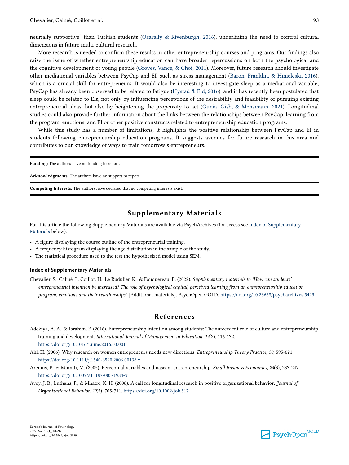neurially supportive" than Turkish students (Ozarally & Rivenburgh, 2016), underlining the need to control cultural dimensions in future multi-cultural research.

More research is needed to confirm these results in other entrepreneurship courses and programs. Our findings also raise the issue of whether entrepreneurship education can have broader repercussions on both the psychological and the cognitive development of young people (Groves, Vance, & Choi, 2011). Moreover, future research should investigate other mediational variables between PsyCap and EI, such as stress management (Baron, Franklin, & Hmieleski, 2016), which is a crucial skill for entrepreneurs. It would also be interesting to investigate sleep as a mediational variable; PsyCap has already been observed to be related to fatigue (Hystad & Eid, 2016), and it has recently been postulated that sleep could be related to EIs, not only by influencing perceptions of the desirability and feasibility of pursuing existing entrepreneurial ideas, but also by heightening the propensity to act (Gunia, Gish, & Mensmann, 2021). Longitudinal studies could also provide further information about the links between the relationships between PsyCap, learning from the program, emotions, and EI or other positive constructs related to entrepreneurship education programs.

While this study has a number of limitations, it highlights the positive relationship between PsyCap and EI in students following entrepreneurship education programs. It suggests avenues for future research in this area and contributes to our knowledge of ways to train tomorrow's entrepreneurs.

**Funding:** The authors have no funding to report. **Acknowledgments:** The authors have no support to report. **Competing Interests:** The authors have declared that no competing interests exist.

#### **Supplementary Materials**

For this article the following Supplementary Materials are available via PsychArchives (for access see Index of Supplementary Materials below).

- A figure displaying the course outline of the entrepreneurial training.
- A frequency histogram displaying the age distribution in the sample of the study.
- The statistical procedure used to the test the hypothesized model using SEM.

#### **Index of Supplementary Materials**

Chevalier, S., Calmé, I., Coillot, H., Le Rudulier, K., & Fouquereau, E. (2022). *Supplementary materials to "How can students' entrepreneurial intention be increased? The role of psychological capital, perceived learning from an entrepreneurship education program, emotions and their relationships"* [Additional materials]. PsychOpen GOLD.<https://doi.org/10.23668/psycharchives.5423>

#### **References**

- Adekiya, A. A., & Ibrahim, F. (2016). Entrepreneurship intention among students: The antecedent role of culture and entrepreneurship training and development. *International Journal of Management in Education, 14*(2), 116-132. <https://doi.org/10.1016/j.ijme.2016.03.001>
- Ahl, H. (2006). Why research on women entrepreneurs needs new directions. *Entrepreneurship Theory Practice, 30*, 595-621. <https://doi.org/10.1111/j.1540-6520.2006.00138.x>
- Arenius, P., & Minniti, M. (2005). Perceptual variables and nascent entrepreneurship. *Small Business Economics, 24*(3), 233-247. <https://doi.org/10.1007/s11187-005-1984-x>
- Avey, J. B., Luthans, F., & Mhatre, K. H. (2008). A call for longitudinal research in positive organizational behavior. *Journal of Organizational Behavior, 29*(5), 705-711. <https://doi.org/10.1002/job.517>

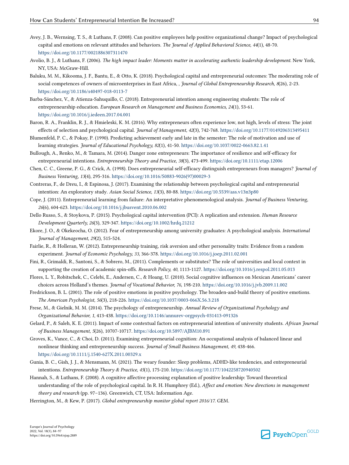- Avey, J. B., Wernsing, T. S., & Luthans, F. (2008). Can positive employees help positive organizational change? Impact of psychological capital and emotions on relevant attitudes and behaviors. *The Journal of Applied Behavioral Science, 44*(1), 48-70. <https://doi.org/10.1177/0021886307311470>
- Avolio, B. J., & Luthans, F. (2006). *The high impact leader: Moments matter in accelerating authentic leadership development*. New York, NY, USA: McGraw-Hill.
- Baluku, M. M., Kikooma, J. F., Bantu, E., & Otto, K. (2018). Psychological capital and entrepreneurial outcomes: The moderating role of social competences of owners of microenterprises in East Africa, , *Journal of Global Entrepreneurship Research, 8*(26), 2-23. <https://doi.org/10.1186/s40497-018-0113-7>
- Barba-Sánchez, V., & Atienza-Sahuquillo, C. (2018). Entrepreneurial intention among engineering students: The role of entrepreneurship education. *European Research on Management and Business Economics, 24*(1), 53-61. <https://doi.org/10.1016/j.iedeen.2017.04.001>
- Baron, R. A., Franklin, R. J., & Hmieleski, K. M. (2016). Why entrepreneurs often experience low, not high, levels of stress: The joint effects of selection and psychological capital. *Journal of Management, 42*(3), 742-768.<https://doi.org/10.1177/0149206313495411>
- Blumenfeld, P. C., & Pokay, P. (1990). Predicting achievement early and late in the semester: The role of motivation and use of learning strategies. *Journal of Educational Psychology, 82*(1), 41-50.<https://doi.org/10.1037/0022-0663.82.1.41>
- Bullough, A., Renko, M., & Tamara, M. (2014). Danger zone entrepreneurs: The importance of resilience and self-efficacy for entrepreneurial intentions. *Entrepreneurship Theory and Practice, 38*(3), 473-499.<https://doi.org/10.1111/etap.12006>
- Chen, C. C., Greene, P. G., & Crick, A. (1998). Does entrepreneurial self-efficacy distinguish entrepreneurs from managers? *Journal of Business Venturing, 13*(4), 295-316. [https://doi.org/10.1016/S0883-9026\(97\)00029-3](https://doi.org/10.1016/S0883-9026(97)00029-3)
- Contreras, F., de Dreu, I., & Espinosa, J. (2017). Examining the relationship between psychological capital and entrepreneurial intention: An exploratory study. *Asian Social Science, 13*(3), 80-88. <https://doi.org/10.5539/ass.v13n3p80>
- Cope, J. (2011). Entrepreneurial learning from failure: An interpretative phenomenological analysis. *Journal of Business Venturing, 26*(6), 604-623.<https://doi.org/10.1016/j.jbusvent.2010.06.002>
- Dello Russo, S., & Stoykova, P. (2015). Psychological capital intervention (PCI): A replication and extension. *Human Resource Development Quarterly, 26*(3), 329-347.<https://doi.org/10.1002/hrdq.21212>
- Ekore, J. O., & Okekeocha, O. (2012). Fear of entrepreneurship among university graduates: A psychological analysis. *International Journal of Management, 29*(2), 515-524.
- Fairlie, R., & Holleran, W. (2012). Entrepreneurship training, risk aversion and other personality traits: Evidence from a random experiment. *Journal of Economic Psychology, 33*, 366-378. <https://doi.org/10.1016/j.joep.2011.02.001>
- Fini, R., Grimaldi, R., Santoni, S., & Sobrero, M., (2011). Complements or substitutes? The role of universities and local context in supporting the creation of academic spin-offs. *Research Policy, 40*, 1113-1127. <https://doi.org/10.1016/j.respol.2011.05.013>
- Flores, L. Y., Robitschek, C., Celebi, E., Andersen, C., & Hoang, U. (2010). Social cognitive influences on Mexican Americans' career choices across Holland's themes. *Journal of Vocational Behavior, 76*, 198-210. <https://doi.org/10.1016/j.jvb.2009.11.002>
- Fredrickson, B. L. (2001). The role of positive emotions in positive psychology. The broaden-and-build theory of positive emotions. *The American Psychologist, 56*(3), 218-226.<https://doi.org/10.1037/0003-066X.56.3.218>
- Frese, M., & Gielnik, M. M. (2014). The psychology of entrepreneurship. *Annual Review of Organizational Psychology and Organizational Behavior, 1*, 413-438.<https://doi.org/10.1146/annurev-orgpsych-031413-091326>
- Gelard, P., & Saleh, K. E. (2011). Impact of some contextual factors on entrepreneurial intention of university students. *African Journal of Business Management, 5*(26), 10707-10717.<https://doi.org/10.5897/AJBM10.891>
- Groves, K., Vance, C., & Choi, D. (2011). Examining entrepreneurial cognition: An occupational analysis of balanced linear and nonlinear thinking and entrepreneurship success. *Journal of Small Business Management, 49*, 438-466. <https://doi.org/10.1111/j.1540-627X.2011.00329.x>
- Gunia, B. C., Gish, J. J., & Mensmann, M. (2021). The weary founder: Sleep problems, ADHD-like tendencies, and entrepreneurial intentions. *Entrepreneurship Theory & Practice, 45*(1), 175-210.<https://doi.org/10.1177/1042258720940502>
- Hannah, S., & Luthans, F. (2008). A cognitive affective processing explanation of positive leadership: Toward theoretical understanding of the role of psychological capital. In R. H. Humphrey (Ed.), *Affect and emotion: New directions in management theory and research* (pp. 97–136). Greenwich, CT, USA: Information Age.
- Herrington, M., & Kew, P. (2017). *Global entrepreneurship monitor global report 2016/17*. GEM.

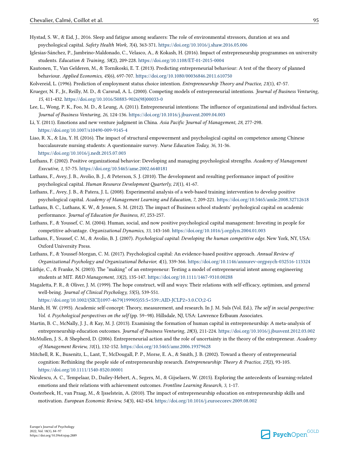- Hystad, S. W., & Eid, J., 2016. Sleep and fatigue among seafarers: The role of environmental stressors, duration at sea and psychological capital. *Safety Health Work, 7*(4), 363-371.<https://doi.org/10.1016/j.shaw.2016.05.006>
- Iglesias-Sánchez, P., Jambrino-Maldonado, C., Velasco, A., & Kokash, H. (2016). Impact of entrepreneurship programmes on university students. *Education & Training, 58*(2), 209-228.<https://doi.org/10.1108/ET-01-2015-0004>
- Kautonen, T., Van Gelderen, M., & Tornikoski, E. T. (2013). Predicting entrepreneurial behaviour: A test of the theory of planned behaviour. *Applied Economics, 45*(6), 697-707. <https://doi.org/10.1080/00036846.2011.610750>

Kolvereid, L. (1996). Prediction of employment status choice intention. *Entrepreneurship Theory and Practice, 21*(1), 47-57.

- Krueger, N. F., Jr., Reilly, M. D., & Carsrud, A. L. (2000). Competing models of entrepreneurial intentions. *Journal of Business Venturing, 15*, 411-432. [https://doi.org/10.1016/S0883-9026\(98\)00033-0](https://doi.org/10.1016/S0883-9026(98)00033-0)
- Lee, L., Wong, P. K., Foo, M. D., & Leung, A. (2011). Entrepreneurial intentions: The influence of organizational and individual factors. *Journal of Business Venturing, 26*, 124-136. <https://doi.org/10.1016/j.jbusvent.2009.04.003>
- Li, Y. (2011). Emotions and new venture judgment in China. *Asia Pacific Journal of Management, 28*, 277-298. <https://doi.org/10.1007/s10490-009-9145-4>
- Liao, R. X., & Liu, Y. H. (2016). The impact of structural empowerment and psychological capital on competence among Chinese baccalaureate nursing students: A questionnaire survey. *Nurse Education Today, 36*, 31-36. <https://doi.org/10.1016/j.nedt.2015.07.003>
- Luthans, F. (2002). Positive organizational behavior: Developing and managing psychological strengths. *Academy of Management Executive, 1*, 57-75.<https://doi.org/10.5465/ame.2002.6640181>
- Luthans, F., Avey, J. B., Avolio, B. J., & Peterson, S. J. (2010). The development and resulting performance impact of positive psychological capital. *Human Resource Development Quarterly, 21*(1), 41-67.
- Luthans, F., Avey, J. B., & Patera, J. L. (2008). Experimental analysis of a web-based training intervention to develop positive psychological capital. *Academy of Management Learning and Education, 7*, 209-221.<https://doi.org/10.5465/amle.2008.32712618>
- Luthans, B. C., Luthans, K. W., & Jensen, S. M. (2012). The impact of Business school students' psyhological capital on academic performance. *Journal of Education for Business, 87*, 253-257.
- Luthans, F., & Youssef, C. M. (2004). Human, social, and now positive psychological capital management: Investing in people for competitive advantage. *Organizational Dynamics, 33*, 143-160.<https://doi.org/10.1016/j.orgdyn.2004.01.003>
- Luthans, F., Youssef, C. M., & Avolio, B. J. (2007). *Psychological capital: Developing the human competitive edge.* New York, NY, USA: Oxford University Press.
- Luthans, F., & Youssef-Morgan, C. M. (2017). Psychological capital: An evidence-based positive approach. *Annual Review of Organizational Psychology and Organizational Behavior, 4*(1), 339-366. <https://doi.org/10.1146/annurev-orgpsych-032516-113324>
- Lüthje, C., & Franke, N. (2003). The "making" of an entrepreneur: Testing a model of entrepreneurial intent among engineering students at MIT. *R&D Management, 33*(2), 135-147.<https://doi.org/10.1111/1467-9310.00288>
- Magaletta, P. R., & Oliver, J. M. (1999). The hope construct, will and ways: Their relations with self-efficacy, optimism, and general well-being. *Journal of Clinical Psychology, 55*(5), 539-551.
- [https://doi.org/10.1002/\(SICI\)1097-4679\(199905\)55:5<539::AID-JCLP2>3.0.CO;2-G](https://doi.org/10.1002/(SICI)1097-4679(199905)55:5<539::AID-JCLP2>3.0.CO;2-G)
- Marsh, H. W. (1993). Academic self-concept: Theory, measurement, and research. In J. M. Suls (Vol. Ed.), *The self in social perspective: Vol. 4. Psychological perspectives on the self* (pp. 59–98). Hillsdale, NJ, USA: Lawrence Erlbaum Associates.
- Martin, B. C., McNally, J. J., & Kay, M. J. (2013). Examining the formation of human capital in entrepreneurship: A meta-analysis of entrepreneurship education outcomes. *Journal of Business Venturing, 28*(3), 211-224. <https://doi.org/10.1016/j.jbusvent.2012.03.002>
- McMullen, J. S., & Shepherd, D. (2006). Entrepreneurial action and the role of uncertainty in the theory of the entrepreneur. *Academy of Management Review, 31*(1), 132-152.<https://doi.org/10.5465/amr.2006.19379628>
- Mitchell, R. K., Busenitz, L., Lant, T., McDougall, P. P., Morse, E. A., & Smith, J. B. (2002). Toward a theory of entrepreneurial cognition: Rethinking the people side of entrepreneurship research. *Entrepreneurship: Theory & Practice, 27*(2), 93-105. <https://doi.org/10.1111/1540-8520.00001>
- Niculescu, A. C., Tempelaar, D., Dailey-Hebert, A., Segers, M., & Gijselaers, W. (2015). Exploring the antecedents of learning-related emotions and their relations with achievement outcomes. *Frontline Learning Research, 3*, 1-17.
- Oosterbeek, H., van Praag, M., & Ijsselstein, A. (2010). The impact of entrepreneurship education on entrepreneurship skills and motivation. *European Economic Review, 54*(3), 442-454. <https://doi.org/10.1016/j.euroecorev.2009.08.002>

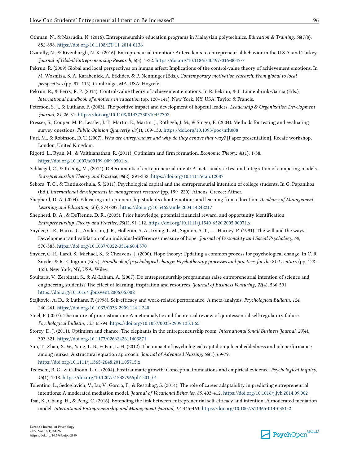- Othman, N., & Nasrudin, N. (2016). Entrepreneurship education programs in Malaysian polytechnics. *Education & Training, 58*(7/8), 882-898. <https://doi.org/10.1108/ET-11-2014-0136>
- Ozarally, N., & Rivenburgh, N. K. (2016). Entrepreneurial intention: Antecedents to entrepreneurial behavior in the U.S.A. and Turkey. *Journal of Global Entrepreneurship Research, 6*(3), 1-32.<https://doi.org/10.1186/s40497-016-0047-x>
- Pekrun, R. (2009).Global and local perspectives on human affect: Implications of the control-value theory of achievement emotions. In M. Wosnitza, S. A. Karabenick, A. Efklides, & P. Nenninger (Eds.), *Contemporary motivation research: From global to local perspectives* (pp. 97–115). Cambridge, MA, USA: Hogrefe.
- Pekrun, R., & Perry, R. P. (2014). Control-value theory of achievement emotions. In R. Pekrun, & L. Linnenbrink-Garcia (Eds.), *International handbook of emotions in education* (pp. 120–141). New York, NY, USA: Taylor & Francis.
- Peterson, S. J., & Luthans, F. (2003). The positive impact and development of hopeful leaders. *Leadership & Organization Development Journal, 24*, 26-31. <https://doi.org/10.1108/01437730310457302>
- Presser, S., Couper, M. P., Lessler, J. T., Martin, E., Martin, J., Rothgeb, J. M., & Singer, E. (2004). Methods for testing and evaluating survey questions. *Public Opinion Quarterly, 68*(1), 109-130.<https://doi.org/10.1093/poq/nfh008>
- Puri, M., & Robinson, D. T. (2007). *Who are entrepreneurs and why do they behave that way?* [Paper presentation]. Recafe workshop, London, United Kingdom.
- Rigotti, L., Ryan, M., & Vaithianathan, R. (2011). Optimism and firm formation. *Economic Theory, 46*(1), 1-38. <https://doi.org/10.1007/s00199-009-0501-x>
- Schlaegel, C., & Koenig, M., (2014). Determinants of entrepreneurial intent: A meta-analytic test and integration of competing models. *Entrepreneurship Theory and Practice, 38*(2), 291-332. <https://doi.org/10.1111/etap.12087>
- Sebora, T. C., & Tantiukoskula, S. (2011). Psychological capital and the entrepreneurial intention of college students. In G. Papanikos (Ed.), *International developments in management research* (pp. 199–220). Athens, Greece: Atiner.
- Shepherd, D. A. (2004). Educating entrepreneurship students about emotions and learning from education. *Academy of Management Learning and Education, 3*(3), 274-287.<https://doi.org/10.5465/amle.2004.14242217>
- Shepherd, D. A., & DeTienne, D. R., (2005). Prior knowledge, potential financial reward, and opportunity identification. *Entrepreneurship Theory and Practice, 29*(1), 91-112. <https://doi.org/10.1111/j.1540-6520.2005.00071.x>
- Snyder, C. R., Harris, C., Anderson, J. R., Holleran, S. A., Irving, L. M., Sigmon, S. T., . . . Harney, P. (1991). The will and the ways: Development and validation of an individual-differences measure of hope. *Journal of Personality and Social Psychology, 60*, 570-585. <https://doi.org/10.1037/0022-3514.60.4.570>
- Snyder, C. R., Ilardi, S., Michael, S., & Cheavens, J. (2000). Hope theory: Updating a common process for psychological change. In C. R. Snyder & R. E. Ingram (Eds.), *Handbook of psychological change: Psychotherapy processes and practices for the 21st century* (pp. 128– 153). New York, NY, USA: Wiley.
- Souitaris, V., Zerbinati, S., & Al-Laham, A. (2007). Do entrepreneurship programmes raise entrepreneurial intention of science and engineering students? The effect of learning, inspiration and resources. *Journal of Business Venturing, 22*(4), 566-591. <https://doi.org/10.1016/j.jbusvent.2006.05.002>
- Stajkovic, A. D., & Luthans, F. (1998). Self-efficacy and work-related performance: A meta-analysis. *Psychological Bulletin, 124*, 240-261. <https://doi.org/10.1037/0033-2909.124.2.240>
- Steel, P. (2007). The nature of procrastination: A meta-analytic and theoretical review of quintessential self-regulatory failure. *Psychological Bulletin, 133*, 65-94. <https://doi.org/10.1037/0033-2909.133.1.65>
- Storey, D. J. (2011). Optimism and chance: The elephants in the entrepreneurship room. *International Small Business Journal, 29*(4), 303-321. <https://doi.org/10.1177/0266242611403871>
- Sun, T., Zhao, X. W., Yang, L. B., & Fan, L. H. (2012). The impact of psychological capital on job embeddedness and job performance among nurses: A structural equation approach. *Journal of Advanced Nursing, 68*(1), 69-79. <https://doi.org/10.1111/j.1365-2648.2011.05715.x>
- Tedeschi, R. G., & Calhoun, L. G. (2004). Posttraumatic growth: Conceptual foundations and empirical evidence. *Psychological Inquiry, 15*(1), 1-18. [https://doi.org/10.1207/s15327965pli1501\\_01](https://doi.org/10.1207/s15327965pli1501_01)
- Tolentino, L., Sedoglavich, V., Lu, V., Garcia, P., & Restubog, S. (2014). The role of career adaptability in predicting entrepreneurial intentions: A moderated mediation model. *Journal of Vocational Behavior, 85*, 403-412. <https://doi.org/10.1016/j.jvb.2014.09.002>
- Tsai, K., Chang, H., & Peng, C. (2016). Extending the link between entrepreneurial self-efficacy and intention: A moderated mediation model. *International Entrepreneurship and Management Journal, 12*, 445-463. <https://doi.org/10.1007/s11365-014-0351-2>